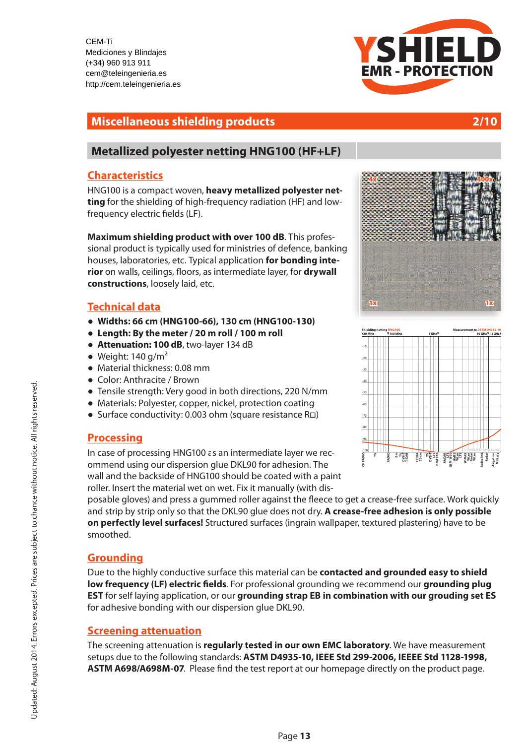CEM-Ti Mediciones y Blindajes (+34) 960 913 911 cem@teleingenieria.es http://cem.teleingenieria.es Internet: www.your.com

### **Miscellaneous shielding products 2/10**

## **[Metallized polyester netting HNG100 \(HF+LF\)](http://cem.teleingenieria.es/epages/eb5065.sf/es_ES/?ObjectPath=/Shops/eb5065/Products/HNG100)**

### **Characteristics**

HNG100 is a compact woven, **heavy metallized polyester netting** for the shielding of high-frequency radiation (HF) and lowfrequency electric fields (LF).

**Maximum shielding product with over 100 dB**. This professional product is typically used for ministries of defence, banking houses, laboratories, etc. Typical application **for bonding interior** on walls, ceilings, floors, as intermediate layer, for **drywall constructions**, loosely laid, etc.

### **Technical data**

- **!" Widths: 66 cm (HNG100-66), 130 cm (HNG100-130)**
- **!" Length: By the meter / 20 m roll / 100 m roll**
- **Attenuation: 100 dB**, two-layer 134 dB
- $\bullet$  Weight: 140 g/m<sup>2</sup>
- $\bullet$  Material thickness: 0.08 mm
- Color: Anthracite / Brown
- Tensile strength: Very good in both directions, 220 N/mm
- Materials: Polyester, copper, nickel, protection coating
- Surface conductivity: 0.003 ohm (square resistance R<sup>[1]</sup>)

### **Processing**

In case of processing [HNG100 a](http://cem.teleingenieria.es/epages/eb5065.sf/es_ES/?ObjectPath=/Shops/eb5065/Products/HNG100)s an intermediate layer we recommend using our dispersion glue DKL90 for adhesion. The wall and the backside of HNG100 should be coated with a paint roller. Insert the material wet on wet. Fix it manually (with dis-

posable gloves) and press a gummed roller against the #eece to get a crease-free surface. Work quickly and strip by strip only so that the DKL90 glue does not dry. **A crease-free adhesion is only possible on perfectly level surfaces!** Structured surfaces (ingrain wallpaper, textured plastering) have to be smoothed.

# **Grounding**

Due to the highly conductive surface this material can be **contacted and grounded easy to shield**  low frequency (LF) electric fields. For professional grounding we recommend our grounding plug **EST** for self laying application, or our **grounding strap EB in combination with our grouding set ES** for adhesive bonding with our dispersion glue DKL90.

### **Screening attenuation**

The screening attenuation is **regularly tested in our own EMC laboratory**. We have measurement setups due to the following standards: **ASTM D4935-10, IEEE Std 299-2006, IEEEE Std 1128-1998, ASTM A698/A698M-07.** Please find the test report at our homepage directly on the product page.